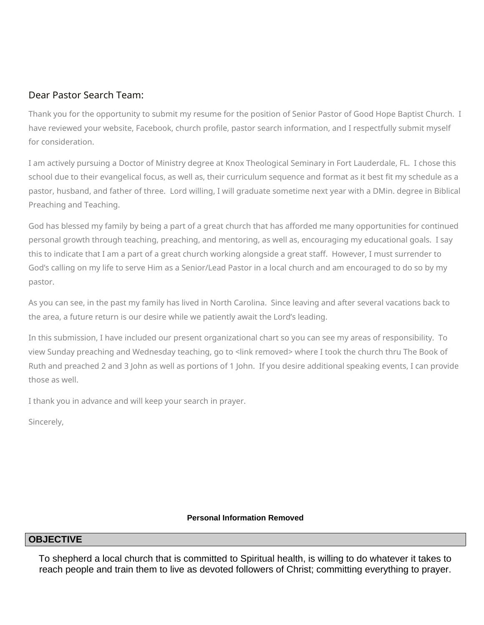## Dear Pastor Search Team:

Thank you for the opportunity to submit my resume for the position of Senior Pastor of Good Hope Baptist Church. I have reviewed your website, Facebook, church profile, pastor search information, and I respectfully submit myself for consideration.

I am actively pursuing a Doctor of Ministry degree at Knox Theological Seminary in Fort Lauderdale, FL. I chose this school due to their evangelical focus, as well as, their curriculum sequence and format as it best fit my schedule as a pastor, husband, and father of three. Lord willing, I will graduate sometime next year with a DMin. degree in Biblical Preaching and Teaching.

God has blessed my family by being a part of a great church that has afforded me many opportunities for continued personal growth through teaching, preaching, and mentoring, as well as, encouraging my educational goals. I say this to indicate that I am a part of a great church working alongside a great staff. However, I must surrender to God's calling on my life to serve Him as a Senior/Lead Pastor in a local church and am encouraged to do so by my pastor.

As you can see, in the past my family has lived in North Carolina. Since leaving and after several vacations back to the area, a future return is our desire while we patiently await the Lord's leading.

In this submission, I have included our present organizational chart so you can see my areas of responsibility. To view Sunday preaching and Wednesday teaching, go to <link removed> where I took the church thru The Book of Ruth and preached 2 and 3 John as well as portions of 1 John. If you desire additional speaking events, I can provide those as well.

I thank you in advance and will keep your search in prayer.

Sincerely,

#### **Personal Information Removed**

### **OBJECTIVE**

To shepherd a local church that is committed to Spiritual health, is willing to do whatever it takes to reach people and train them to live as devoted followers of Christ; committing everything to prayer.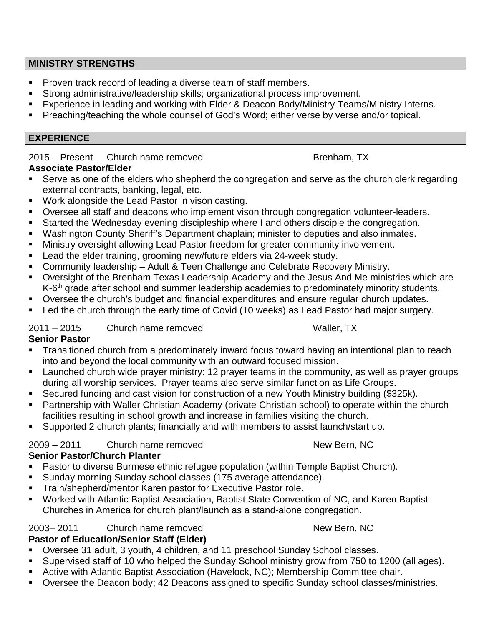### **MINISTRY STRENGTHS**

- **Proven track record of leading a diverse team of staff members.**
- Strong administrative/leadership skills; organizational process improvement.
- Experience in leading and working with Elder & Deacon Body/Ministry Teams/Ministry Interns.
- Preaching/teaching the whole counsel of God's Word; either verse by verse and/or topical.

## **EXPERIENCE**

2015 – Present Church name removed Brenham, TX

# **Associate Pastor/Elder**

- Serve as one of the elders who shepherd the congregation and serve as the church clerk regarding external contracts, banking, legal, etc.
- **Work alongside the Lead Pastor in vison casting.**
- Oversee all staff and deacons who implement vison through congregation volunteer-leaders.
- Started the Wednesday evening discipleship where I and others disciple the congregation.
- Washington County Sheriff's Department chaplain; minister to deputies and also inmates.
- **Ministry oversight allowing Lead Pastor freedom for greater community involvement.**
- **Lead the elder training, grooming new/future elders via 24-week study.**
- **Community leadership Adult & Teen Challenge and Celebrate Recovery Ministry.**
- Oversight of the Brenham Texas Leadership Academy and the Jesus And Me ministries which are K-6<sup>th</sup> grade after school and summer leadership academies to predominately minority students.
- Oversee the church's budget and financial expenditures and ensure regular church updates.
- Led the church through the early time of Covid (10 weeks) as Lead Pastor had major surgery.

## 2011 – 2015 Church name removed Waller, TX

## **Senior Pastor**

- Transitioned church from a predominately inward focus toward having an intentional plan to reach into and beyond the local community with an outward focused mission.
- **Launched church wide prayer ministry: 12 prayer teams in the community, as well as prayer groups** during all worship services. Prayer teams also serve similar function as Life Groups.
- Secured funding and cast vision for construction of a new Youth Ministry building (\$325k).
- Partnership with Waller Christian Academy (private Christian school) to operate within the church facilities resulting in school growth and increase in families visiting the church.
- Supported 2 church plants; financially and with members to assist launch/start up.

## 2009 – 2011 Church name removed New Bern, NC

## **Senior Pastor/Church Planter**

- Pastor to diverse Burmese ethnic refugee population (within Temple Baptist Church).
- Sunday morning Sunday school classes (175 average attendance).
- **Train/shepherd/mentor Karen pastor for Executive Pastor role.**
- Worked with Atlantic Baptist Association, Baptist State Convention of NC, and Karen Baptist Churches in America for church plant/launch as a stand-alone congregation.

#### 2003– 2011 Church name removed New Bern, NC **Pastor of Education/Senior Staff (Elder)**

- Oversee 31 adult, 3 youth, 4 children, and 11 preschool Sunday School classes.
- Supervised staff of 10 who helped the Sunday School ministry grow from 750 to 1200 (all ages).
- Active with Atlantic Baptist Association (Havelock, NC); Membership Committee chair.
- **Diam-Strate Coversee the Deacon body**; 42 Deacons assigned to specific Sunday school classes/ministries.